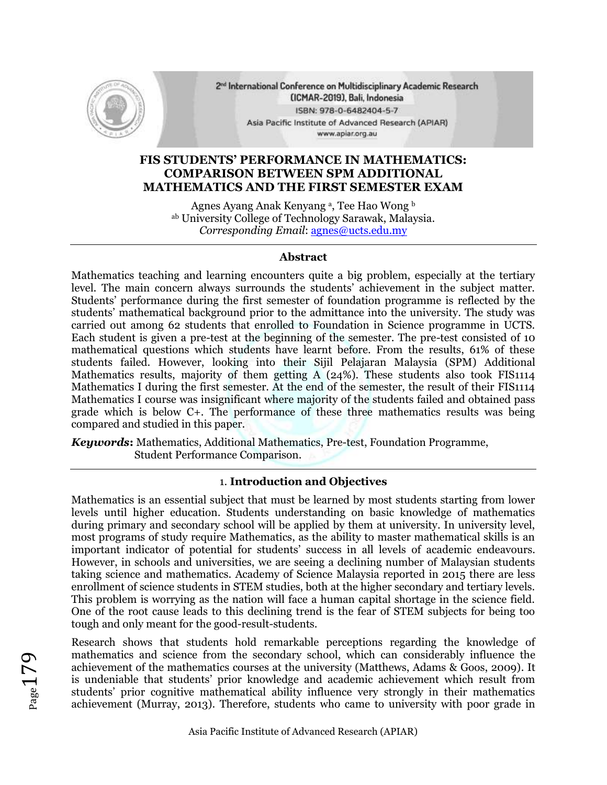

2<sup>nd</sup> International Conference on Multidisciplinary Academic Research (ICMAR-2019), Bali, Indonesia ISBN: 978-0-6482404-5-7 Asia Pacific Institute of Advanced Research (APIAR) www.apiar.org.au

# **FIS STUDENTS' PERFORMANCE IN MATHEMATICS: COMPARISON BETWEEN SPM ADDITIONAL MATHEMATICS AND THE FIRST SEMESTER EXAM**

Agnes Ayang Anak Kenyang ª, Tee Hao Wong b ab University College of Technology Sarawak, Malaysia. *Corresponding Email*: [agnes@ucts.edu.my](mailto:agnes@ucts.edu.my)

### **Abstract**

Mathematics teaching and learning encounters quite a big problem, especially at the tertiary level. The main concern always surrounds the students' achievement in the subject matter. Students' performance during the first semester of foundation programme is reflected by the students' mathematical background prior to the admittance into the university. The study was carried out among 62 students that enrolled to Foundation in Science programme in UCTS. Each student is given a pre-test at the beginning of the semester. The pre-test consisted of 10 mathematical questions which students have learnt before. From the results, 61% of these students failed. However, looking into their Sijil Pelajaran Malaysia (SPM) Additional Mathematics results, majority of them getting A (24%). These students also took FIS1114 Mathematics I during the first semester. At the end of the semester, the result of their FIS1114 Mathematics I course was insignificant where majority of the students failed and obtained pass grade which is below C+. The performance of these three mathematics results was being compared and studied in this paper.

*Keywords***:** Mathematics, Additional Mathematics, Pre-test, Foundation Programme, Student Performance Comparison.

### 1. **Introduction and Objectives**

Mathematics is an essential subject that must be learned by most students starting from lower levels until higher education. Students understanding on basic knowledge of mathematics during primary and secondary school will be applied by them at university. In university level, most programs of study require Mathematics, as the ability to master mathematical skills is an important indicator of potential for students' success in all levels of academic endeavours. However, in schools and universities, we are seeing a declining number of Malaysian students taking science and mathematics. Academy of Science Malaysia reported in 2015 there are less enrollment of science students in STEM studies, both at the higher secondary and tertiary levels. This problem is worrying as the nation will face a human capital shortage in the science field. One of the root cause leads to this declining trend is the fear of STEM subjects for being too tough and only meant for the good-result-students.

Research shows that students hold remarkable perceptions regarding the knowledge of mathematics and science from the secondary school, which can considerably influence the achievement of the mathematics courses at the university (Matthews, Adams & Goos, 2009). It is undeniable that students' prior knowledge and academic achievement which result from students' prior cognitive mathematical ability influence very strongly in their mathematics achievement (Murray, 2013). Therefore, students who came to university with poor grade in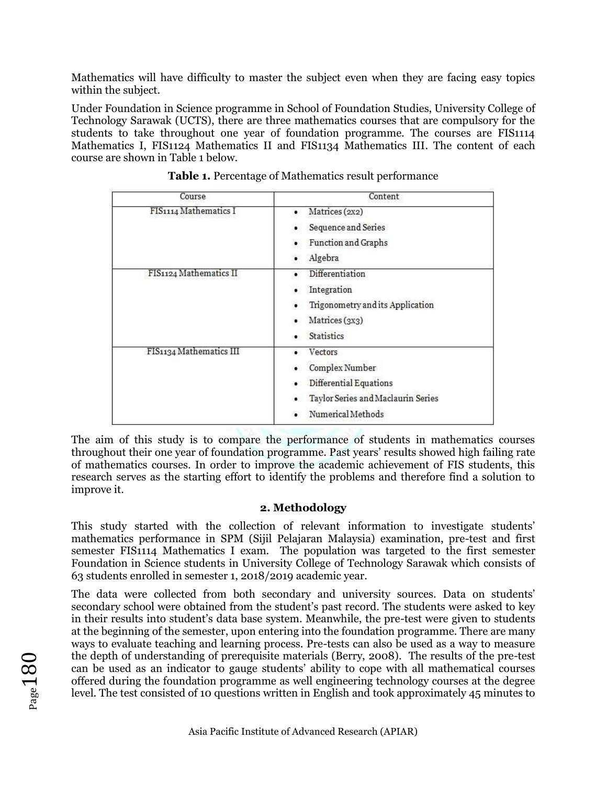Mathematics will have difficulty to master the subject even when they are facing easy topics within the subject.

Under Foundation in Science programme in School of Foundation Studies, University College of Technology Sarawak (UCTS), there are three mathematics courses that are compulsory for the students to take throughout one year of foundation programme. The courses are FIS1114 Mathematics I, FIS1124 Mathematics II and FIS1134 Mathematics III. The content of each course are shown in Table 1 below.

| Course                  | Content                                                                                                        |
|-------------------------|----------------------------------------------------------------------------------------------------------------|
| FIS1114 Mathematics I   | Matrices (2x2)<br>Sequence and Series<br>Function and Graphs<br>Algebra                                        |
| FIS1124 Mathematics II  | Differentiation<br>Integration<br>Trigonometry and its Application<br>Matrices (3x3)<br><b>Statistics</b>      |
| FIS1134 Mathematics III | Vectors<br>Complex Number<br>Differential Equations<br>Taylor Series and Maclaurin Series<br>Numerical Methods |

**Table 1.** Percentage of Mathematics result performance

The aim of this study is to compare the performance of students in mathematics courses throughout their one year of foundation programme. Past years' results showed high failing rate of mathematics courses. In order to improve the academic achievement of FIS students, this research serves as the starting effort to identify the problems and therefore find a solution to improve it.

# **2. Methodology**

This study started with the collection of relevant information to investigate students' mathematics performance in SPM (Sijil Pelajaran Malaysia) examination, pre-test and first semester FIS1114 Mathematics I exam. The population was targeted to the first semester Foundation in Science students in University College of Technology Sarawak which consists of 63 students enrolled in semester 1, 2018/2019 academic year.

The data were collected from both secondary and university sources. Data on students' secondary school were obtained from the student's past record. The students were asked to key in their results into student's data base system. Meanwhile, the pre-test were given to students at the beginning of the semester, upon entering into the foundation programme. There are many ways to evaluate teaching and learning process. Pre-tests can also be used as a way to measure the depth of understanding of prerequisite materials (Berry, 2008). The results of the pre-test can be used as an indicator to gauge students' ability to cope with all mathematical courses offered during the foundation programme as well engineering technology courses at the degree level. The test consisted of 10 questions written in English and took approximately 45 minutes to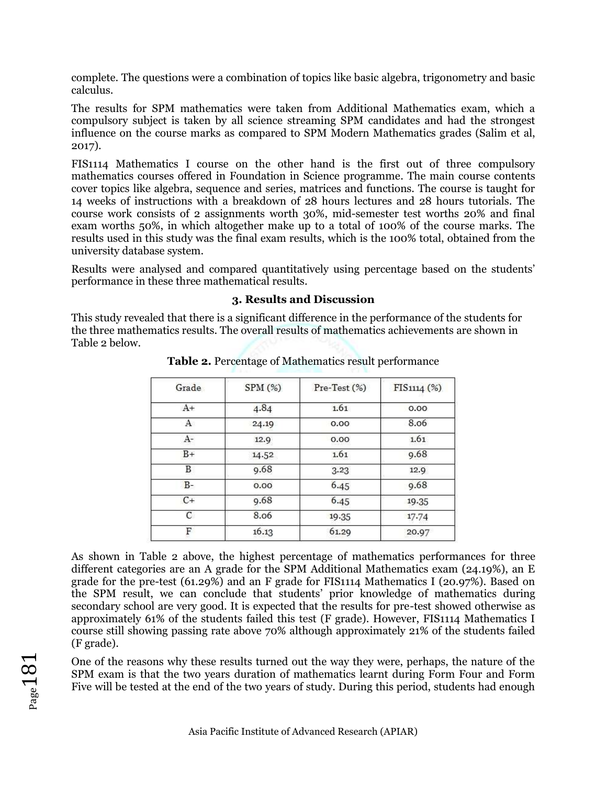complete. The questions were a combination of topics like basic algebra, trigonometry and basic calculus.

The results for SPM mathematics were taken from Additional Mathematics exam, which a compulsory subject is taken by all science streaming SPM candidates and had the strongest influence on the course marks as compared to SPM Modern Mathematics grades (Salim et al, 2017).

FIS1114 Mathematics I course on the other hand is the first out of three compulsory mathematics courses offered in Foundation in Science programme. The main course contents cover topics like algebra, sequence and series, matrices and functions. The course is taught for 14 weeks of instructions with a breakdown of 28 hours lectures and 28 hours tutorials. The course work consists of 2 assignments worth 30%, mid-semester test worths 20% and final exam worths 50%, in which altogether make up to a total of 100% of the course marks. The results used in this study was the final exam results, which is the 100% total, obtained from the university database system.

Results were analysed and compared quantitatively using percentage based on the students' performance in these three mathematical results.

## **3. Results and Discussion**

This study revealed that there is a significant difference in the performance of the students for the three mathematics results. The overall results of mathematics achievements are shown in Table 2 below.

| Grade | SPM(%)                        | Pre-Test (%) | FIS1114 (%)<br>0.00<br>8.06   |
|-------|-------------------------------|--------------|-------------------------------|
| $A+$  | 4.84<br>24.19                 | 1.61         |                               |
| А     |                               | 0.00         |                               |
| $A-$  | 12.9                          | 0.00         | 1.61                          |
| $B+$  | 14.52<br>9.68<br>0.00<br>9.68 | 1.61         | 9.68<br>12.9<br>9.68<br>19.35 |
| В     |                               | 3.23         |                               |
| $B -$ |                               | 6.45<br>6.45 |                               |
| $C+$  |                               |              |                               |
| C     | 8.06                          | 19.35        | 17.74                         |
| F     | 16.13                         | 61.29        | 20.97                         |

**Table 2.** Percentage of Mathematics result performance

As shown in Table 2 above, the highest percentage of mathematics performances for three different categories are an A grade for the SPM Additional Mathematics exam (24.19%), an E grade for the pre-test (61.29%) and an F grade for FIS1114 Mathematics I (20.97%). Based on the SPM result, we can conclude that students' prior knowledge of mathematics during secondary school are very good. It is expected that the results for pre-test showed otherwise as approximately 61% of the students failed this test (F grade). However, FIS1114 Mathematics I course still showing passing rate above 70% although approximately 21% of the students failed (F grade).

One of the reasons why these results turned out the way they were, perhaps, the nature of the SPM exam is that the two years duration of mathematics learnt during Form Four and Form Five will be tested at the end of the two years of study. During this period, students had enough

 $_{\rm Page}$ 181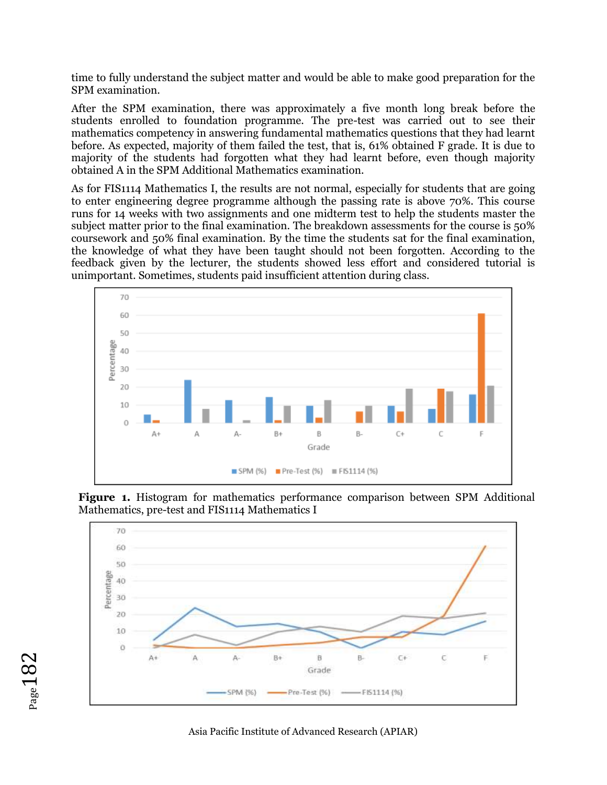time to fully understand the subject matter and would be able to make good preparation for the SPM examination.

After the SPM examination, there was approximately a five month long break before the students enrolled to foundation programme. The pre-test was carried out to see their mathematics competency in answering fundamental mathematics questions that they had learnt before. As expected, majority of them failed the test, that is, 61% obtained F grade. It is due to majority of the students had forgotten what they had learnt before, even though majority obtained A in the SPM Additional Mathematics examination.

As for FIS1114 Mathematics I, the results are not normal, especially for students that are going to enter engineering degree programme although the passing rate is above 70%. This course runs for 14 weeks with two assignments and one midterm test to help the students master the subject matter prior to the final examination. The breakdown assessments for the course is 50% coursework and 50% final examination. By the time the students sat for the final examination, the knowledge of what they have been taught should not been forgotten. According to the feedback given by the lecturer, the students showed less effort and considered tutorial is unimportant. Sometimes, students paid insufficient attention during class.



**Figure 1.** Histogram for mathematics performance comparison between SPM Additional Mathematics, pre-test and FIS1114 Mathematics I



Asia Pacific Institute of Advanced Research (APIAR)

 $_{\rm Page}$ 182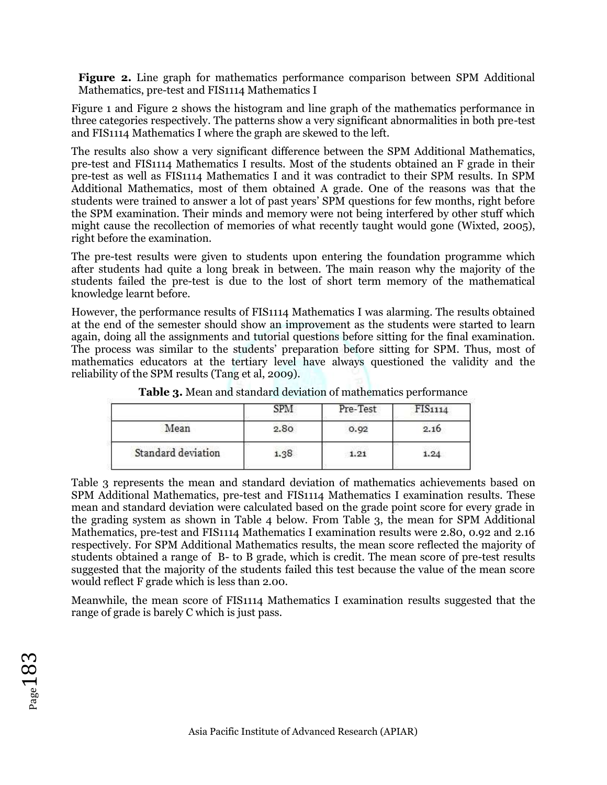**Figure 2.** Line graph for mathematics performance comparison between SPM Additional Mathematics, pre-test and FIS1114 Mathematics I

Figure 1 and Figure 2 shows the histogram and line graph of the mathematics performance in three categories respectively. The patterns show a very significant abnormalities in both pre-test and FIS1114 Mathematics I where the graph are skewed to the left.

The results also show a very significant difference between the SPM Additional Mathematics, pre-test and FIS1114 Mathematics I results. Most of the students obtained an F grade in their pre-test as well as FIS1114 Mathematics I and it was contradict to their SPM results. In SPM Additional Mathematics, most of them obtained A grade. One of the reasons was that the students were trained to answer a lot of past years' SPM questions for few months, right before the SPM examination. Their minds and memory were not being interfered by other stuff which might cause the recollection of memories of what recently taught would gone (Wixted, 2005), right before the examination.

The pre-test results were given to students upon entering the foundation programme which after students had quite a long break in between. The main reason why the majority of the students failed the pre-test is due to the lost of short term memory of the mathematical knowledge learnt before.

However, the performance results of FIS1114 Mathematics I was alarming. The results obtained at the end of the semester should show an improvement as the students were started to learn again, doing all the assignments and tutorial questions before sitting for the final examination. The process was similar to the students' preparation before sitting for SPM. Thus, most of mathematics educators at the tertiary level have always questioned the validity and the reliability of the SPM results (Tang et al, 2009).

|                    |      | Pre-Test | FIS1114 |
|--------------------|------|----------|---------|
| Mean               | 2.80 | 0.92     | 2.16    |
| Standard deviation | 1.38 | 1.21     | 1.24    |

**Table 3.** Mean and standard deviation of mathematics performance

Table 3 represents the mean and standard deviation of mathematics achievements based on SPM Additional Mathematics, pre-test and FIS1114 Mathematics I examination results. These mean and standard deviation were calculated based on the grade point score for every grade in the grading system as shown in Table 4 below. From Table 3, the mean for SPM Additional Mathematics, pre-test and FIS1114 Mathematics I examination results were 2.80, 0.92 and 2.16 respectively. For SPM Additional Mathematics results, the mean score reflected the majority of students obtained a range of B- to B grade, which is credit. The mean score of pre-test results suggested that the majority of the students failed this test because the value of the mean score would reflect F grade which is less than 2.00.

Meanwhile, the mean score of FIS1114 Mathematics I examination results suggested that the range of grade is barely C which is just pass.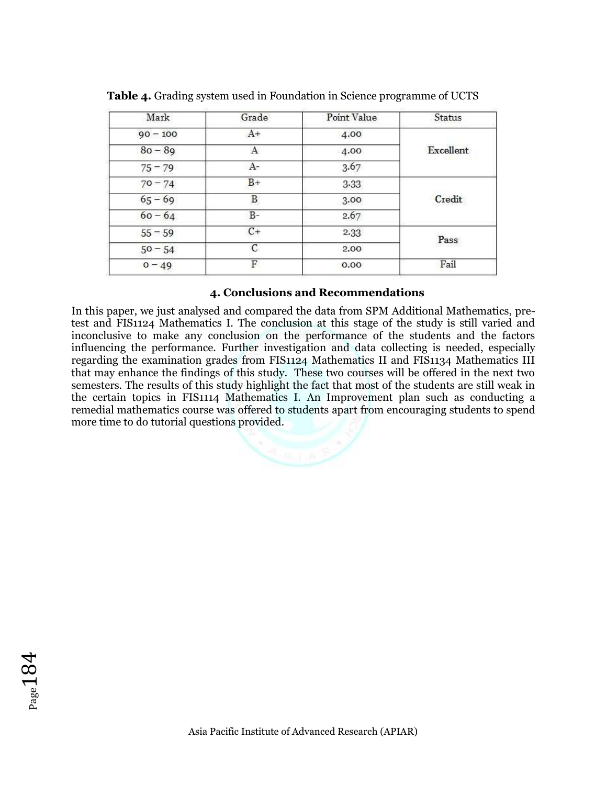| Mark       | Grade | Point Value | Status    |  |
|------------|-------|-------------|-----------|--|
| $90 - 100$ | $A+$  | 4.00        |           |  |
| $80 - 89$  | Α     | 4.00        | Excellent |  |
| $75 - 79$  | $A-$  | 3.67        |           |  |
| $70 - 74$  | $B+$  | $3-33$      | Credit    |  |
| $65 - 69$  | В     | 3.00        |           |  |
| $60 - 64$  | $B -$ | 2.67        |           |  |
| $55 - 59$  | $C+$  | 2.33        | Pass      |  |
| $50 - 54$  | C     | 2.00        |           |  |
| $0 - 49$   | F     | 0.00        | Fail      |  |

**Table 4.** Grading system used in Foundation in Science programme of UCTS

## **4. Conclusions and Recommendations**

In this paper, we just analysed and compared the data from SPM Additional Mathematics, pretest and FIS1124 Mathematics I. The conclusion at this stage of the study is still varied and inconclusive to make any conclusion on the performance of the students and the factors influencing the performance. Further investigation and data collecting is needed, especially regarding the examination grades from FIS1124 Mathematics II and FIS1134 Mathematics III that may enhance the findings of this study. These two courses will be offered in the next two semesters. The results of this study highlight the fact that most of the students are still weak in the certain topics in FIS1114 Mathematics I. An Improvement plan such as conducting a remedial mathematics course was offered to students apart from encouraging students to spend more time to do tutorial questions provided.